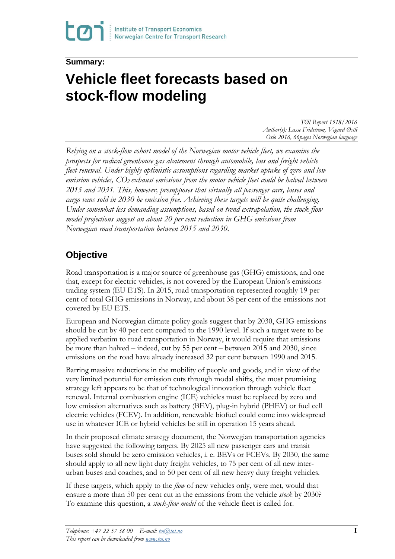## **Summary:**

# **Vehicle fleet forecasts based on stock-flow modeling**

*TØI Report 1518/2016 Author(s): Lasse Fridstrøm, Vegard Østli Oslo 2016, 66pages Norwegian language*

*Relying on a stock-flow cohort model of the Norwegian motor vehicle fleet, we examine the prospects for radical greenhouse gas abatement through automobile, bus and freight vehicle fleet renewal. Under highly optimistic assumptions regarding market uptake of zero and low emission vehicles, CO2 exhaust emissions from the motor vehicle fleet could be halved between 2015 and 2031. This, however, presupposes that virtually all passenger cars, buses and cargo vans sold in 2030 be emission free. Achieving these targets will be quite challenging. Under somewhat less demanding assumptions, based on trend extrapolation, the stock-flow model projections suggest an about 20 per cent reduction in GHG emissions from Norwegian road transportation between 2015 and 2030.*

# **Objective**

Road transportation is a major source of greenhouse gas (GHG) emissions, and one that, except for electric vehicles, is not covered by the European Union's emissions trading system (EU ETS). In 2015, road transportation represented roughly 19 per cent of total GHG emissions in Norway, and about 38 per cent of the emissions not covered by EU ETS.

European and Norwegian climate policy goals suggest that by 2030, GHG emissions should be cut by 40 per cent compared to the 1990 level. If such a target were to be applied verbatim to road transportation in Norway, it would require that emissions be more than halved – indeed, cut by 55 per cent – between 2015 and 2030, since emissions on the road have already increased 32 per cent between 1990 and 2015.

Barring massive reductions in the mobility of people and goods, and in view of the very limited potential for emission cuts through modal shifts, the most promising strategy left appears to be that of technological innovation through vehicle fleet renewal. Internal combustion engine (ICE) vehicles must be replaced by zero and low emission alternatives such as battery (BEV), plug-in hybrid (PHEV) or fuel cell electric vehicles (FCEV). In addition, renewable biofuel could come into widespread use in whatever ICE or hybrid vehicles be still in operation 15 years ahead.

In their proposed climate strategy document, the Norwegian transportation agencies have suggested the following targets. By 2025 all new passenger cars and transit buses sold should be zero emission vehicles, i. e. BEVs or FCEVs. By 2030, the same should apply to all new light duty freight vehicles, to 75 per cent of all new interurban buses and coaches, and to 50 per cent of all new heavy duty freight vehicles.

If these targets, which apply to the *flow* of new vehicles only, were met, would that ensure a more than 50 per cent cut in the emissions from the vehicle *stock* by 2030? To examine this question, a *stock-flow model* of the vehicle fleet is called for.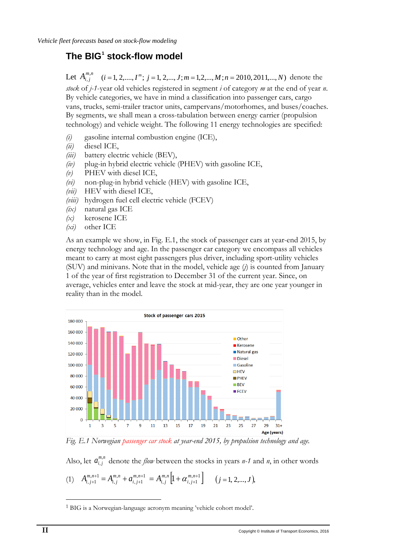# **The BIG[1](#page-1-0) stock-flow model**

Let  $A^{m,n}_{i,j}$  $(i = 1, 2, \ldots, I^m; j = 1, 2, \ldots, J; m = 1, 2, \ldots, M; n = 2010, 2011, \ldots, N$  denote the *stock* of *j-1*-year old vehicles registered in segment *i* of category *m* at the end of year *n*. By vehicle categories, we have in mind a classification into passenger cars, cargo vans, trucks, semi-trailer tractor units, campervans/motorhomes, and buses/coaches. By segments, we shall mean a cross-tabulation between energy carrier (propulsion technology) and vehicle weight. The following 11 energy technologies are specified:

- *(i)* gasoline internal combustion engine (ICE),
- *(ii)* diesel ICE,
- *(iii)* battery electric vehicle (BEV),
- *(iv)* plug-in hybrid electric vehicle (PHEV) with gasoline ICE,
- *(v)* PHEV with diesel ICE,
- *(vi)* non-plug-in hybrid vehicle (HEV) with gasoline ICE,
- *(vii)* HEV with diesel ICE,
- *(viii)* hydrogen fuel cell electric vehicle (FCEV)
- *(ix)* natural gas ICE
- *(x)* kerosene ICE
- *(xi)* other ICE

As an example we show, in Fig. E.1, the stock of passenger cars at year-end 2015, by energy technology and age. In the passenger car category we encompass all vehicles meant to carry at most eight passengers plus driver, including sport-utility vehicles (SUV) and minivans. Note that in the model, vehicle age (*j*) is counted from January 1 of the year of first registration to December 31 of the current year. Since, on average, vehicles enter and leave the stock at mid-year, they are one year younger in reality than in the model.



*Fig. E.1 Norwegian passenger car stock at year-end 2015, by propulsion technology and age.*

Also, let  $a_{i,j}^{m,n}$  denote the *flow* between the stocks in years *n-1* and *n*, in other words

(1) 
$$
A_{i,j+1}^{m,n+1} = A_{i,j}^{m,n} + a_{i,j+1}^{m,n+1} = A_{i,j}^{m,n} \left[ 1 + \alpha_{i,j+1}^{m,n+1} \right] \quad (j = 1, 2, ..., J),
$$

 $\overline{a}$ 

<span id="page-1-0"></span><sup>1</sup> BIG is a Norwegian-language acronym meaning 'vehicle cohort model'.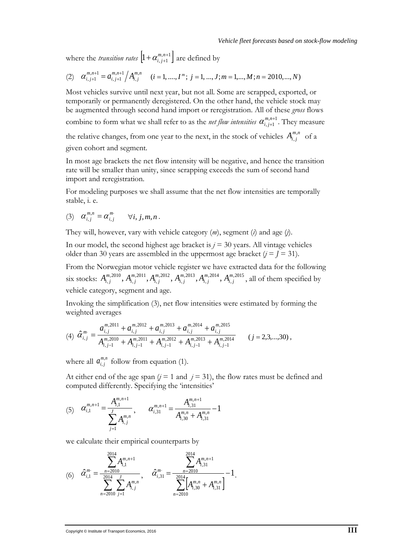where the *transition rates*  $\left[1 + \alpha_{i,j+1}^{m,n+1}\right]$  are defined by

(2) 
$$
\alpha_{i,j+1}^{m,n+1} = \alpha_{i,j+1}^{m,n+1} / A_{i,j}^{m,n}
$$
  $(i = 1, ..., I^m; j = 1, ..., J; m = 1, ..., M; n = 2010, ..., N)$ 

Most vehicles survive until next year, but not all. Some are scrapped, exported, or temporarily or permanently deregistered. On the other hand, the vehicle stock may be augmented through second hand import or reregistration. All of these *gross* flows combine to form what we shall refer to as the *net flow intensities*  $\alpha_{i,j+1}^{m,n+1}$ +  $\alpha^{m,n+1}_{i,j+1}$ . They measure the relative changes, from one year to the next, in the stock of vehicles  $A_{i,j}^{m,n}$  of a

given cohort and segment.

In most age brackets the net flow intensity will be negative, and hence the transition rate will be smaller than unity, since scrapping exceeds the sum of second hand import and reregistration.

For modeling purposes we shall assume that the net flow intensities are temporally stable, i. e.

$$
(3) \quad \alpha_{i,j}^{m,n} = \alpha_{i,j}^m \qquad \forall i, j, m, n \, .
$$

They will, however, vary with vehicle category (*m*), segment (*i*) and age (*j*).

In our model, the second highest age bracket is  $j = 30$  years. All vintage vehicles older than 30 years are assembled in the uppermost age bracket  $(j = J = 31)$ .

From the Norwegian motor vehicle register we have extracted data for the following six stocks:  $A_{i,j}^{m,2010}$ ,  $A_{i,j}^{m,2011}$ ,  $A_{i,j}^{m,2012}$ ,  $A_{i,j}^{m,2013}$ ,  $A_{i,j}^{m,2014}$ ,  $A_{i,j}^{m,2015}$ ,2014 , ,2013 , ,2012 , ,2011 ,  $\mathcal{A}_{i,j}^{m,2010},\, \mathcal{A}_{i,j}^{m,2011},\mathcal{A}_{i,j}^{m,2012},\, \mathcal{A}_{i,j}^{m,2013},\mathcal{A}_{i,j}^{m,2014},\, \mathcal{A}_{i,j}^{m,2014}$ *m i j m i j m i j m*  $A_{i,j}^{m,2010}$ ,  $A_{i,j}^{m,2011}$ ,  $A_{i,j}^{m,2012}$ ,  $A_{i,j}^{m,2013}$ ,  $A_{i,j}^{m,2014}$ ,  $A_{i,j}^{m,2015}$ , all of them specified by vehicle category, segment and age.

Invoking the simplification (3), net flow intensities were estimated by forming the weighted averages

$$
(4) \ \hat{a}_{i,j}^{m} = \frac{a_{i,j}^{m,2011} + a_{i,j}^{m,2012} + a_{i,j}^{m,2013} + a_{i,j}^{m,2014} + a_{i,j}^{m,2015}}{A_{i,j-1}^{m,2010} + A_{i,j-1}^{m,2011} + A_{i,j-1}^{m,2012} + A_{i,j-1}^{m,2013} + A_{i,j-1}^{m,2014}} \qquad (j = 2,3,...,30),
$$

where all  $a_{i,j}^{m,n}$  follow from equation (1).

At either end of the age span  $(j = 1 \text{ and } j = 31)$ , the flow rates must be defined and computed differently. Specifying the 'intensities'

(5) 
$$
\alpha_{i,1}^{m,n+1} = \frac{A_{i,1}^{m,n+1}}{\sum_{j=1}^{J} A_{i,j}^{m,n}}, \qquad \alpha_{i,31}^{m,n+1} = \frac{A_{i,31}^{m,n+1}}{A_{i,30}^{m,n} + A_{i,31}^{m,n}} - 1
$$

we calculate their empirical counterparts by

$$
(6) \quad \hat{\alpha}_{i,1}^{m} = \frac{\sum_{n=2010}^{2014} A_{i,1}^{m,n+1}}{\sum_{n=2010}^{2014} \sum_{j=1}^{J} A_{i,j}^{m,n}}, \quad \hat{\alpha}_{i,31}^{m} = \frac{\sum_{n=2010}^{2014} A_{i,31}^{m,n+1}}{\sum_{n=2010}^{2014} [A_{i,30}^{m,n} + A_{i,31}^{m,n}]} - 1.
$$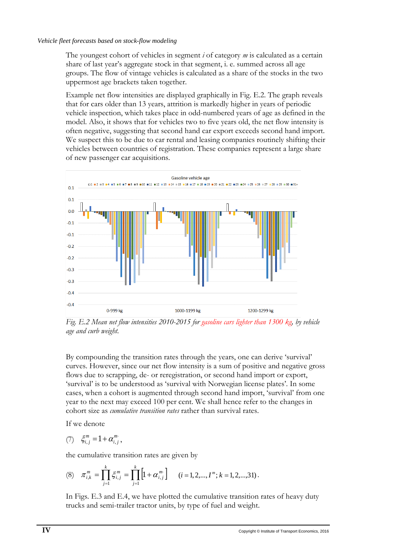The youngest cohort of vehicles in segment *i* of category *m* is calculated as a certain share of last year's aggregate stock in that segment, i. e. summed across all age groups. The flow of vintage vehicles is calculated as a share of the stocks in the two uppermost age brackets taken together.

Example net flow intensities are displayed graphically in Fig. E.2. The graph reveals that for cars older than 13 years, attrition is markedly higher in years of periodic vehicle inspection, which takes place in odd-numbered years of age as defined in the model. Also, it shows that for vehicles two to five years old, the net flow intensity is often negative, suggesting that second hand car export exceeds second hand import. We suspect this to be due to car rental and leasing companies routinely shifting their vehicles between countries of registration. These companies represent a large share of new passenger car acquisitions.



*Fig. E.2 Mean net flow intensities 2010-2015 for gasoline cars lighter than 1300 kg, by vehicle age and curb weight.* 

By compounding the transition rates through the years, one can derive 'survival' curves. However, since our net flow intensity is a sum of positive and negative gross flows due to scrapping, de- or reregistration, or second hand import or export, 'survival' is to be understood as 'survival with Norwegian license plates'. In some cases, when a cohort is augmented through second hand import, 'survival' from one year to the next may exceed 100 per cent. We shall hence refer to the changes in cohort size as *cumulative transition rates* rather than survival rates.

If we denote

$$
(7) \quad \xi_{i,j}^m = 1 + \alpha_{i,j}^m,
$$

the cumulative transition rates are given by

(8) 
$$
\pi_{i,k}^m = \prod_{j=1}^k \xi_{i,j}^m = \prod_{j=1}^k \left[1 + \alpha_{i,j}^m\right] \quad (i = 1, 2, ..., I^m; k = 1, 2, ..., 31).
$$

In Figs. E.3 and E.4, we have plotted the cumulative transition rates of heavy duty trucks and semi-trailer tractor units, by type of fuel and weight.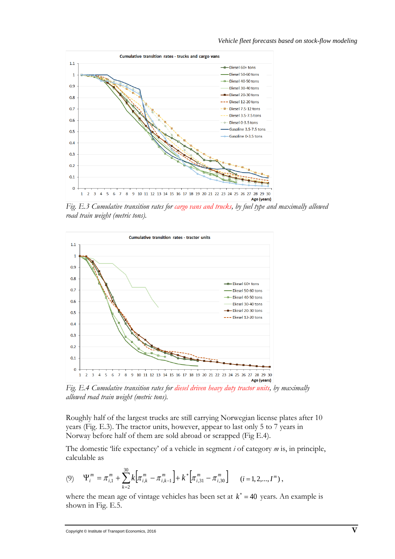

*Fig. E.3 Cumulative transition rates for cargo vans and trucks, by fuel type and maximally allowed road train weight (metric tons).*



*Fig. E.4 Cumulative transition rates for diesel driven heavy duty tractor units, by maximally allowed road train weight (metric tons).*

Roughly half of the largest trucks are still carrying Norwegian license plates after 10 years (Fig. E.3). The tractor units, however, appear to last only 5 to 7 years in Norway before half of them are sold abroad or scrapped (Fig E.4).

The domestic 'life expectancy' of a vehicle in segment *i* of category *m* is, in principle, calculable as

$$
(9) \quad \Psi_i^m = \pi_{i,1}^m + \sum_{k=2}^{30} k \Big[ \pi_{i,k}^m - \pi_{i,k-1}^m \Big] + k^* \Big[ \pi_{i,31}^m - \pi_{i,30}^m \Big] \qquad (i = 1, 2, ..., I^m) \,,
$$

where the mean age of vintage vehicles has been set at  $k^* = 40$  years. An example is shown in Fig. E.5.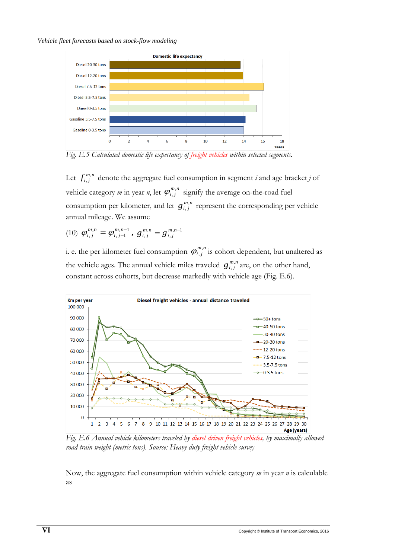#### *Vehicle fleet forecasts based on stock-flow modeling*



*Fig. E.5 Calculated domestic life expectancy of freight vehicles within selected segments.*

Let  $f_{i,j}^{m,n}$  denote the aggregate fuel consumption in segment *i* and age bracket *j* of vehicle category *m* in year *n*, let  $\varphi_{i,j}^{m,n}$  signify the average on-the-road fuel consumption per kilometer, and let  $g^{m,n}_{i,j}$  represent the corresponding per vehicle annual mileage. We assume

(10)  $\varphi_{i,j}^{m,n} = \varphi_{i,j-1}^{m,n-1}$ , ,  $\varphi_{i,j}^{m,n} = \varphi_{i,j-1}^{m,n-1}$  $\varphi_{i,j}^{m,n} = \varphi_{i,j-1}^{m,n-1}, \ g_{i,j}^{m,n} = g_{i,j}^{m,n-1}$ ,  $g_{i,j}^{m,n} = g_{i,j}^{m,n-1}$ 

i. e. the per kilometer fuel consumption  $\varphi^{m,n}_{i,j}$  is cohort dependent, but unaltered as the vehicle ages. The annual vehicle miles traveled  $g_{i,j}^{m,n}$  are, on the other hand, constant across cohorts, but decrease markedly with vehicle age (Fig. E.6).



*Fig. E.6 Annual vehicle kilometers traveled by diesel driven freight vehicles, by maximally allowed road train weight (metric tons). Source: Heavy duty freight vehicle survey*

Now, the aggregate fuel consumption within vehicle category *m* in year *n* is calculable as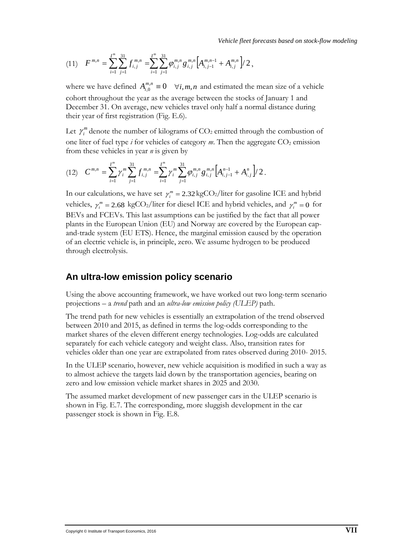$$
(11) \tF^{m,n} = \sum_{i=1}^{I^m} \sum_{j=1}^{31} f_{i,j}^{m,n} = \sum_{i=1}^{I^m} \sum_{j=1}^{31} \varphi_{i,j}^{m,n} g_{i,j}^{m,n} \Big[ A_{i,j-1}^{m,n-1} + A_{i,j}^{m,n} \Big] / 2,
$$

where we have defined  $A_{i,0}^{m,n} \equiv 0 \quad \forall i, m, n$  and estimated the mean size of a vehicle cohort throughout the year as the average between the stocks of January 1 and December 31. On average, new vehicles travel only half a normal distance during their year of first registration (Fig. E.6).

Let  $\gamma_i^m$  denote the number of kilograms of  $CO_2$  emitted through the combustion of one liter of fuel type  $i$  for vehicles of category  $m$ . Then the aggregate  $CO_2$  emission from these vehicles in year *n* is given by

$$
(12) \quad C^{m,n} = \sum_{i=1}^{I^m} \gamma_i^m \sum_{j=1}^{31} f_{i,j}^{m,n} = \sum_{i=1}^{I^m} \gamma_i^m \sum_{j=1}^{31} \varphi_{i,j}^{m,n} g_{i,j}^{m,n} \Big[ A_{i,j-1}^{n-1} + A_{i,j}^n \Big] / 2 \, .
$$

In our calculations, we have set  $\gamma_i^m = 2.32 \text{ kgCO}_2/\text{liter}$  for gasoline ICE and hybrid vehicles,  $\gamma_i^m = 2.68 \text{ kgCO}_2/\text{liter}$  for diesel ICE and hybrid vehicles, and  $\gamma_i^m = 0$  for BEVs and FCEVs. This last assumptions can be justified by the fact that all power plants in the European Union (EU) and Norway are covered by the European capand-trade system (EU ETS). Hence, the marginal emission caused by the operation of an electric vehicle is, in principle, zero. We assume hydrogen to be produced through electrolysis.

## **An ultra-low emission policy scenario**

Using the above accounting framework, we have worked out two long-term scenario projections – a *trend* path and an *ultra-low emission policy (ULEP)* path.

The trend path for new vehicles is essentially an extrapolation of the trend observed between 2010 and 2015, as defined in terms the log-odds corresponding to the market shares of the eleven different energy technologies. Log-odds are calculated separately for each vehicle category and weight class. Also, transition rates for vehicles older than one year are extrapolated from rates observed during 2010- 2015.

In the ULEP scenario, however, new vehicle acquisition is modified in such a way as to almost achieve the targets laid down by the transportation agencies, bearing on zero and low emission vehicle market shares in 2025 and 2030.

The assumed market development of new passenger cars in the ULEP scenario is shown in Fig. E.7. The corresponding, more sluggish development in the car passenger stock is shown in Fig. E.8.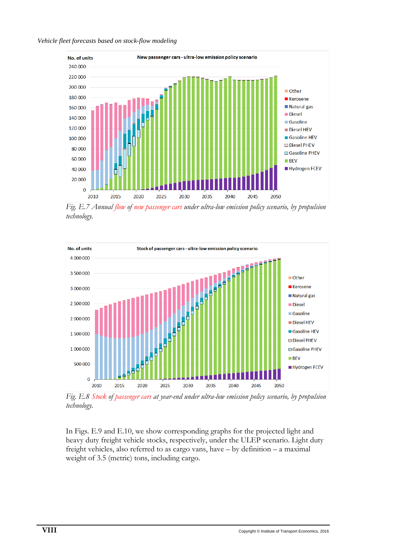### *Vehicle fleet forecasts based on stock-flow modeling*



*Fig. E.7 Annual flow of new passenger cars under ultra-low emission policy scenario, by propulsion technology.* 



*Fig. E.8 Stock of passenger cars at year-end under ultra-low emission policy scenario, by propulsion technology.* 

In Figs. E.9 and E.10, we show corresponding graphs for the projected light and heavy duty freight vehicle stocks, respectively, under the ULEP scenario. Light duty freight vehicles, also referred to as cargo vans, have – by definition – a maximal weight of 3.5 (metric) tons, including cargo.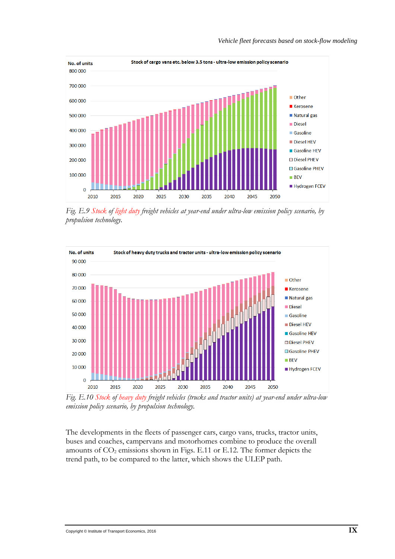

*Fig. E.9 Stock of light duty freight vehicles at year-end under ultra-low emission policy scenario, by propulsion technology.* 



*Fig. E.10 Stock of heavy duty freight vehicles (trucks and tractor units) at year-end under ultra-low emission policy scenario, by propulsion technology.* 

The developments in the fleets of passenger cars, cargo vans, trucks, tractor units, buses and coaches, campervans and motorhomes combine to produce the overall amounts of  $CO<sub>2</sub>$  emissions shown in Figs. E.11 or E.12. The former depicts the trend path, to be compared to the latter, which shows the ULEP path.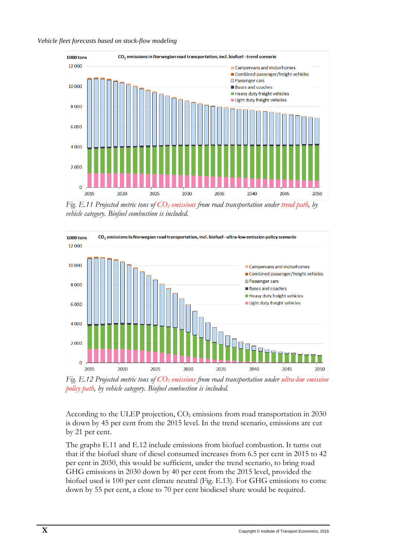#### *Vehicle fleet forecasts based on stock-flow modeling*



*Fig. E.11 Projected metric tons of CO2 emissions from road transportation under trend path, by vehicle category. Biofuel combustion is included.* 



*Fig. E.12 Projected metric tons of CO2 emissions from road transportation under ultra-low emission policy path, by vehicle category. Biofuel combustion is included.* 

According to the ULEP projection, CO<sub>2</sub> emissions from road transportation in 2030 is down by 45 per cent from the 2015 level. In the trend scenario, emissions are cut by 21 per cent.

The graphs E.11 and E.12 include emissions from biofuel combustion. It turns out that if the biofuel share of diesel consumed increases from 6.5 per cent in 2015 to 42 per cent in 2030, this would be sufficient, under the trend scenario, to bring road GHG emissions in 2030 down by 40 per cent from the 2015 level, provided the biofuel used is 100 per cent climate neutral (Fig. E.13). For GHG emissions to come down by 55 per cent, a close to 70 per cent biodiesel share would be required.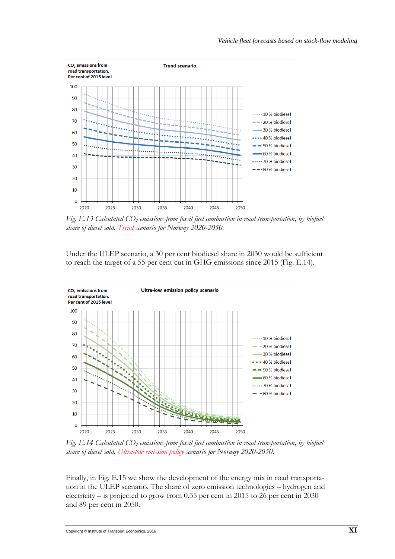

*Fig. E.13 Calculated CO2 emissions from fossil fuel combustion in road transportation, by biofuel share of diesel sold. Trend scenario for Norway 2020-2050.*

Under the ULEP scenario, a 30 per cent biodiesel share in 2030 would be sufficient to reach the target of a 55 per cent cut in GHG emissions since 2015 (Fig. E.14).



*Fig. E.14 Calculated CO2 emissions from fossil fuel combustion in road transportation, by biofuel share of diesel sold. Ultra-low emission policy scenario for Norway 2020-2050.*

Finally, in Fig. E.15 we show the development of the energy mix in road transportation in the ULEP scenario. The share of zero emission technologies – hydrogen and electricity – is projected to grow from 0.35 per cent in 2015 to 26 per cent in 2030 and 89 per cent in 2050.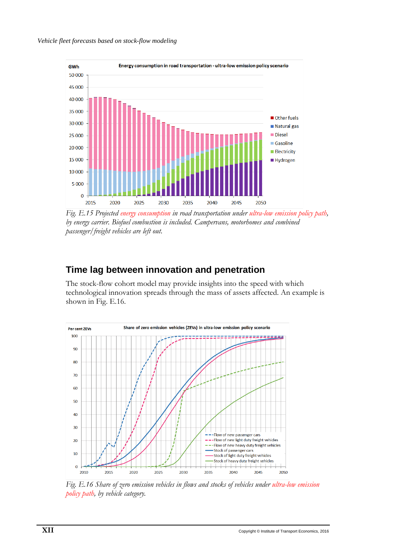

*Fig. E.15 Projected energy consumption in road transportation under ultra-low emission policy path, by energy carrier. Biofuel combustion is included. Campervans, motorhomes and combined passenger/freight vehicles are left out.*

## **Time lag between innovation and penetration**

The stock-flow cohort model may provide insights into the speed with which technological innovation spreads through the mass of assets affected. An example is shown in Fig. E.16.



*Fig. E.16 Share of zero emission vehicles in flows and stocks of vehicles under ultra-low emission policy path, by vehicle category.*